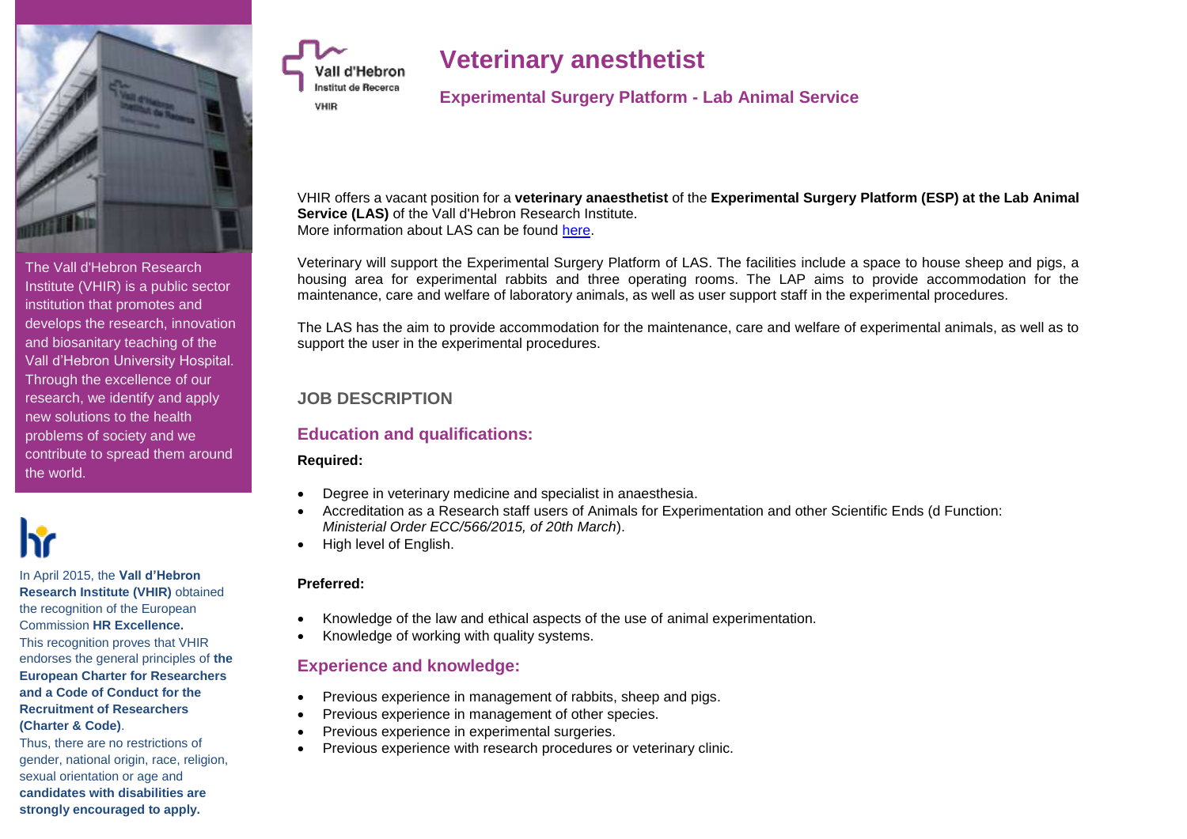

The Vall d'Hebron Research Institute (VHIR) is a public sector institution that promotes and develops the research, innovation and biosanitary teaching of the Vall d'Hebron University Hospital. Through the excellence of our research, we identify and apply new solutions to the health problems of society and we contribute to spread them around the world.



In April 2015, the **Vall d'Hebron Research Institute (VHIR)** obtained the recognition of the European Commission **HR Excellence.** This recognition proves that VHIR endorses the general principles of **the European Charter for Researchers and a Code of Conduct for the Recruitment of Researchers (Charter & Code)**.

Thus, there are no restrictions of gender, national origin, race, religion, sexual orientation or age and **candidates with disabilities are strongly encouraged to apply.**

# **Veterinary anesthetist**

**Experimental Surgery Platform - Lab Animal Service**

VHIR offers a vacant position for a **veterinary anaesthetist** of the **Experimental Surgery Platform (ESP) at the Lab Animal Service (LAS)** of the Vall d'Hebron Research Institute. More information about LAS can be found [here.](http://es.vhir.org/portal1/article_menu_serveis.asp?s=serveis&contenttypeid=294&contentid=1217&t=Servei%20d%92Animal%20de%20Laboratori%20-%20Presentaci%F3)

Veterinary will support the Experimental Surgery Platform of LAS. The facilities include a space to house sheep and pigs, a housing area for experimental rabbits and three operating rooms. The LAP aims to provide accommodation for the maintenance, care and welfare of laboratory animals, as well as user support staff in the experimental procedures.

The LAS has the aim to provide accommodation for the maintenance, care and welfare of experimental animals, as well as to support the user in the experimental procedures.

# **JOB DESCRIPTION**

Vall d'Hebron Institut de Recerca

**VHIR** 

# **Education and qualifications:**

#### **Required:**

- Degree in veterinary medicine and specialist in anaesthesia.
- Accreditation as a Research staff users of Animals for Experimentation and other Scientific Ends (d Function: *Ministerial Order ECC/566/2015, of 20th March*).
- High level of English.

### **Preferred:**

- Knowledge of the law and ethical aspects of the use of animal experimentation.
- Knowledge of working with quality systems.

# **Experience and knowledge:**

- Previous experience in management of rabbits, sheep and pigs.
- Previous experience in management of other species.
- Previous experience in experimental surgeries.
- Previous experience with research procedures or veterinary clinic.